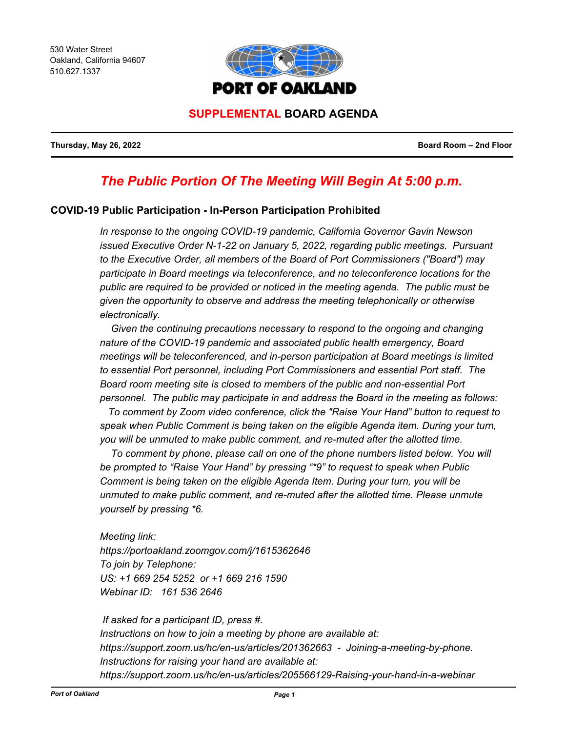530 Water Street Oakland, California 94607 510.627.1337



# **SUPPLEMENTAL BOARD AGENDA**

**Thursday, May 26, 2022 Board Room – 2nd Floor**

# *The Public Portion Of The Meeting Will Begin At 5:00 p.m.*

# **COVID-19 Public Participation - In-Person Participation Prohibited**

*In response to the ongoing COVID-19 pandemic, California Governor Gavin Newson issued Executive Order N-1-22 on January 5, 2022, regarding public meetings. Pursuant to the Executive Order, all members of the Board of Port Commissioners ("Board") may participate in Board meetings via teleconference, and no teleconference locations for the public are required to be provided or noticed in the meeting agenda. The public must be given the opportunity to observe and address the meeting telephonically or otherwise electronically.* 

 *Given the continuing precautions necessary to respond to the ongoing and changing nature of the COVID-19 pandemic and associated public health emergency, Board meetings will be teleconferenced, and in-person participation at Board meetings is limited to essential Port personnel, including Port Commissioners and essential Port staff. The Board room meeting site is closed to members of the public and non-essential Port personnel. The public may participate in and address the Board in the meeting as follows:*

 *To comment by Zoom video conference, click the "Raise Your Hand" button to request to speak when Public Comment is being taken on the eligible Agenda item. During your turn, you will be unmuted to make public comment, and re-muted after the allotted time.*

To comment by phone, please call on one of the phone numbers listed below. You will *be prompted to "Raise Your Hand" by pressing "\*9" to request to speak when Public Comment is being taken on the eligible Agenda Item. During your turn, you will be unmuted to make public comment, and re-muted after the allotted time. Please unmute yourself by pressing \*6.*

*Meeting link: https://portoakland.zoomgov.com/j/1615362646 To join by Telephone: US: +1 669 254 5252 or +1 669 216 1590 Webinar ID: 161 536 2646* 

 *If asked for a participant ID, press #. Instructions on how to join a meeting by phone are available at: https://support.zoom.us/hc/en-us/articles/201362663 - Joining-a-meeting-by-phone. Instructions for raising your hand are available at: https://support.zoom.us/hc/en-us/articles/205566129-Raising-your-hand-in-a-webinar*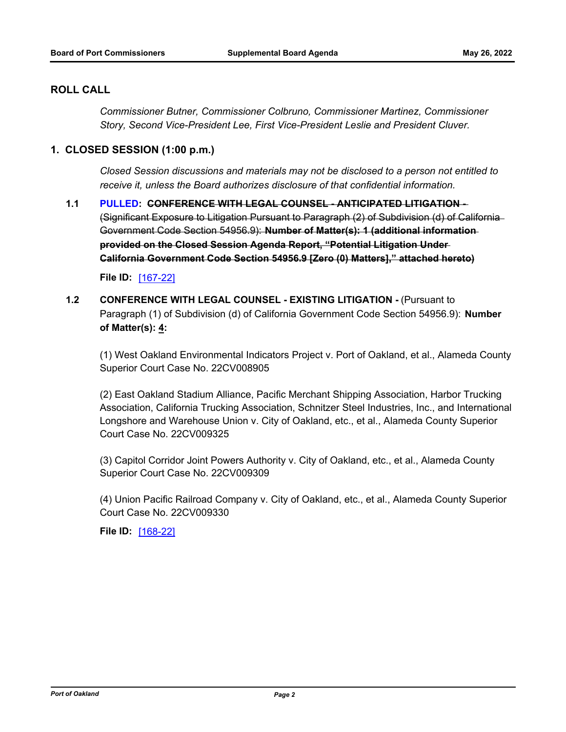# **ROLL CALL**

*Commissioner Butner, Commissioner Colbruno, Commissioner Martinez, Commissioner Story, Second Vice-President Lee, First Vice-President Leslie and President Cluver.*

#### **1. CLOSED SESSION (1:00 p.m.)**

*Closed Session discussions and materials may not be disclosed to a person not entitled to receive it, unless the Board authorizes disclosure of that confidential information.*

**1.1 PULLED: CONFERENCE WITH LEGAL COUNSEL - ANTICIPATED LITIGATION -** (Significant Exposure to Litigation Pursuant to Paragraph (2) of Subdivision (d) of California Government Code Section 54956.9): **Number of Matter(s): 1 (additional information provided on the Closed Session Agenda Report, "Potential Litigation Under California Government Code Section 54956.9 [Zero (0) Matters]," attached hereto)**

**File ID:** [\[167-22\]](http://portofoakland.legistar.com/gateway.aspx?m=l&id=/matter.aspx?key=4529)

**1.2 CONFERENCE WITH LEGAL COUNSEL - EXISTING LITIGATION - (Pursuant to** Paragraph (1) of Subdivision (d) of California Government Code Section 54956.9): **Number of Matter(s): 4:** 

(1) West Oakland Environmental Indicators Project v. Port of Oakland, et al., Alameda County Superior Court Case No. 22CV008905

(2) East Oakland Stadium Alliance, Pacific Merchant Shipping Association, Harbor Trucking Association, California Trucking Association, Schnitzer Steel Industries, Inc., and International Longshore and Warehouse Union v. City of Oakland, etc., et al., Alameda County Superior Court Case No. 22CV009325

(3) Capitol Corridor Joint Powers Authority v. City of Oakland, etc., et al., Alameda County Superior Court Case No. 22CV009309

(4) Union Pacific Railroad Company v. City of Oakland, etc., et al., Alameda County Superior Court Case No. 22CV009330

**File ID:** [\[168-22\]](http://portofoakland.legistar.com/gateway.aspx?m=l&id=/matter.aspx?key=4530)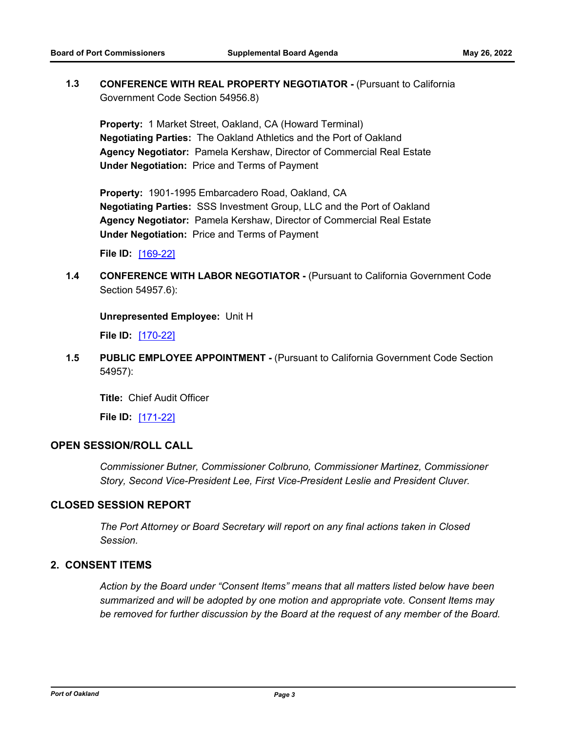**1.3 CONFERENCE WITH REAL PROPERTY NEGOTIATOR -** (Pursuant to California Government Code Section 54956.8)

**Property:** 1 Market Street, Oakland, CA (Howard Terminal) **Negotiating Parties:** The Oakland Athletics and the Port of Oakland **Agency Negotiator:** Pamela Kershaw, Director of Commercial Real Estate **Under Negotiation:** Price and Terms of Payment

**Property:** 1901-1995 Embarcadero Road, Oakland, CA **Negotiating Parties:** SSS Investment Group, LLC and the Port of Oakland **Agency Negotiator:** Pamela Kershaw, Director of Commercial Real Estate **Under Negotiation:** Price and Terms of Payment

**File ID:** [\[169-22\]](http://portofoakland.legistar.com/gateway.aspx?m=l&id=/matter.aspx?key=4531)

**1.4 CONFERENCE WITH LABOR NEGOTIATOR -** (Pursuant to California Government Code Section 54957.6):

**Unrepresented Employee:** Unit H

**File ID:** [\[170-22\]](http://portofoakland.legistar.com/gateway.aspx?m=l&id=/matter.aspx?key=4532)

**1.5 PUBLIC EMPLOYEE APPOINTMENT -** (Pursuant to California Government Code Section 54957):

**Title:** Chief Audit Officer

**File ID:** [\[171-22\]](http://portofoakland.legistar.com/gateway.aspx?m=l&id=/matter.aspx?key=4533)

## **OPEN SESSION/ROLL CALL**

*Commissioner Butner, Commissioner Colbruno, Commissioner Martinez, Commissioner Story, Second Vice-President Lee, First Vice-President Leslie and President Cluver.*

#### **CLOSED SESSION REPORT**

*The Port Attorney or Board Secretary will report on any final actions taken in Closed Session.*

# **2. CONSENT ITEMS**

*Action by the Board under "Consent Items" means that all matters listed below have been summarized and will be adopted by one motion and appropriate vote. Consent Items may be removed for further discussion by the Board at the request of any member of the Board.*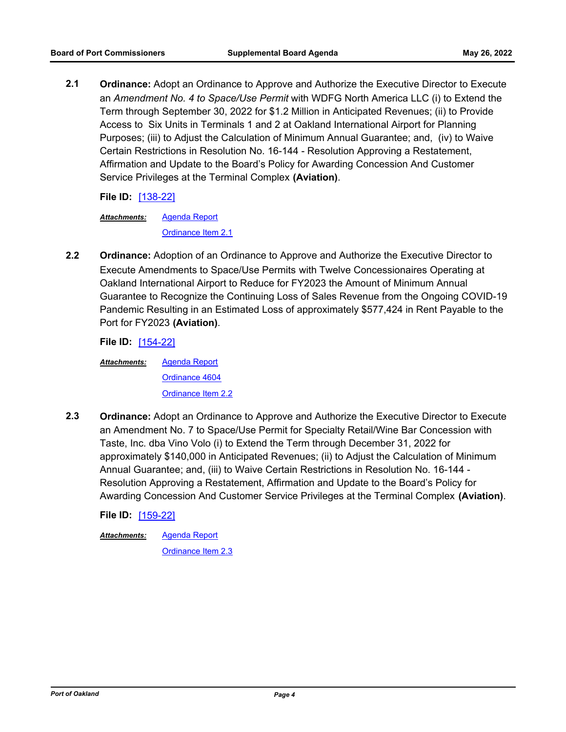**2.1 Ordinance:** Adopt an Ordinance to Approve and Authorize the Executive Director to Execute an *Amendment No. 4 to Space/Use Permit* with WDFG North America LLC (i) to Extend the Term through September 30, 2022 for \$1.2 Million in Anticipated Revenues; (ii) to Provide Access to Six Units in Terminals 1 and 2 at Oakland International Airport for Planning Purposes; (iii) to Adjust the Calculation of Minimum Annual Guarantee; and, (iv) to Waive Certain Restrictions in Resolution No. 16-144 - Resolution Approving a Restatement, Affirmation and Update to the Board's Policy for Awarding Concession And Customer Service Privileges at the Terminal Complex **(Aviation)**.

**File ID:** [\[138-22\]](http://portofoakland.legistar.com/gateway.aspx?m=l&id=/matter.aspx?key=4500)

[Agenda Report](http://portofoakland.legistar.com/gateway.aspx?M=F&ID=1f97cda9-81e5-4691-9e61-a436dfa8cd01.docx) *Attachments:*

[Ordinance Item 2.1](http://portofoakland.legistar.com/gateway.aspx?M=F&ID=e7523bcb-d714-4290-b77a-f25588fcce62.pdf)

**2.2 Ordinance:** Adoption of an Ordinance to Approve and Authorize the Executive Director to Execute Amendments to Space/Use Permits with Twelve Concessionaires Operating at Oakland International Airport to Reduce for FY2023 the Amount of Minimum Annual Guarantee to Recognize the Continuing Loss of Sales Revenue from the Ongoing COVID-19 Pandemic Resulting in an Estimated Loss of approximately \$577,424 in Rent Payable to the Port for FY2023 **(Aviation)**.

**File ID:** [\[154-22\]](http://portofoakland.legistar.com/gateway.aspx?m=l&id=/matter.aspx?key=4516)

[Agenda Report](http://portofoakland.legistar.com/gateway.aspx?M=F&ID=6541d469-d4f5-4d65-af42-7af4f75b66fd.docx) [Ordinance 4604](http://portofoakland.legistar.com/gateway.aspx?M=F&ID=17f16d6f-4ed7-4ba3-b7e1-450357094d3b.pdf) [Ordinance Item 2.2](http://portofoakland.legistar.com/gateway.aspx?M=F&ID=81996fe8-33bb-4f3c-bcd3-225e0c0a223c.pdf) *Attachments:*

**2.3 Ordinance:** Adopt an Ordinance to Approve and Authorize the Executive Director to Execute an Amendment No. 7 to Space/Use Permit for Specialty Retail/Wine Bar Concession with Taste, Inc. dba Vino Volo (i) to Extend the Term through December 31, 2022 for approximately \$140,000 in Anticipated Revenues; (ii) to Adjust the Calculation of Minimum Annual Guarantee; and, (iii) to Waive Certain Restrictions in Resolution No. 16-144 - Resolution Approving a Restatement, Affirmation and Update to the Board's Policy for Awarding Concession And Customer Service Privileges at the Terminal Complex **(Aviation)**.

**File ID:** [\[159-22\]](http://portofoakland.legistar.com/gateway.aspx?m=l&id=/matter.aspx?key=4521)

[Agenda Report](http://portofoakland.legistar.com/gateway.aspx?M=F&ID=09dd10f0-cbed-4a12-bda8-aec945c83eb0.docx) *Attachments:*

[Ordinance Item 2.3](http://portofoakland.legistar.com/gateway.aspx?M=F&ID=05f8ff9c-7274-4629-9511-d3f153a7d33f.pdf)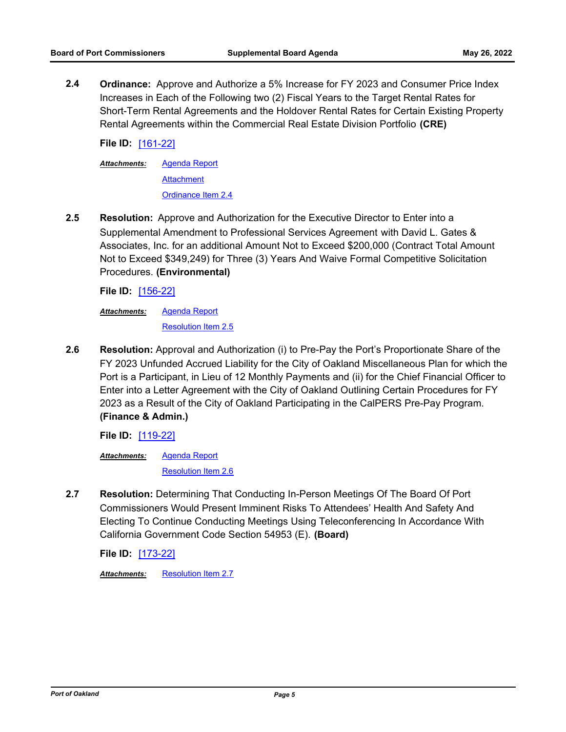**2.4 Ordinance:** Approve and Authorize a 5% Increase for FY 2023 and Consumer Price Index Increases in Each of the Following two (2) Fiscal Years to the Target Rental Rates for Short-Term Rental Agreements and the Holdover Rental Rates for Certain Existing Property Rental Agreements within the Commercial Real Estate Division Portfolio **(CRE)**

**File ID:** [\[161-22\]](http://portofoakland.legistar.com/gateway.aspx?m=l&id=/matter.aspx?key=4523)

[Agenda Report](http://portofoakland.legistar.com/gateway.aspx?M=F&ID=f7c7b6dd-99c9-4a69-945b-c93d260a1bb4.docx) **[Attachment](http://portofoakland.legistar.com/gateway.aspx?M=F&ID=074239f2-6ac8-43aa-bc78-2dc9c3a217ad.pdf)** [Ordinance Item 2.4](http://portofoakland.legistar.com/gateway.aspx?M=F&ID=0af5a8a2-1b1f-4a1e-a44e-b3f4a6000974.pdf) *Attachments:*

**2.5 Resolution:** Approve and Authorization for the Executive Director to Enter into a Supplemental Amendment to Professional Services Agreement with David L. Gates & Associates, Inc. for an additional Amount Not to Exceed \$200,000 (Contract Total Amount Not to Exceed \$349,249) for Three (3) Years And Waive Formal Competitive Solicitation Procedures. **(Environmental)**

**File ID:** [\[156-22\]](http://portofoakland.legistar.com/gateway.aspx?m=l&id=/matter.aspx?key=4518)

[Agenda Report](http://portofoakland.legistar.com/gateway.aspx?M=F&ID=0c4b4c8d-a670-40d6-a8eb-3b9c65b2485c.docx) *Attachments:*

[Resolution Item 2.5](http://portofoakland.legistar.com/gateway.aspx?M=F&ID=15e2b430-3a22-44b6-987e-851d5703a7ee.pdf)

**2.6 Resolution:** Approval and Authorization (i) to Pre-Pay the Port's Proportionate Share of the FY 2023 Unfunded Accrued Liability for the City of Oakland Miscellaneous Plan for which the Port is a Participant, in Lieu of 12 Monthly Payments and (ii) for the Chief Financial Officer to Enter into a Letter Agreement with the City of Oakland Outlining Certain Procedures for FY 2023 as a Result of the City of Oakland Participating in the CalPERS Pre-Pay Program. **(Finance & Admin.)**

**File ID:** [\[119-22\]](http://portofoakland.legistar.com/gateway.aspx?m=l&id=/matter.aspx?key=4481)

[Agenda Report](http://portofoakland.legistar.com/gateway.aspx?M=F&ID=ea3b3700-8af1-4667-8377-1b2f8440bffd.docx) *Attachments:*

[Resolution Item 2.6](http://portofoakland.legistar.com/gateway.aspx?M=F&ID=ded0854a-ff5e-4340-8d58-9c454327a0cb.pdf)

**2.7 Resolution:** Determining That Conducting In-Person Meetings Of The Board Of Port Commissioners Would Present Imminent Risks To Attendees' Health And Safety And Electing To Continue Conducting Meetings Using Teleconferencing In Accordance With California Government Code Section 54953 (E). **(Board)**

**File ID:** [\[173-22\]](http://portofoakland.legistar.com/gateway.aspx?m=l&id=/matter.aspx?key=4535)

*Attachments:* [Resolution Item 2.7](http://portofoakland.legistar.com/gateway.aspx?M=F&ID=3c5b85ed-eb26-4895-9dfc-60ec3dec3153.pdf)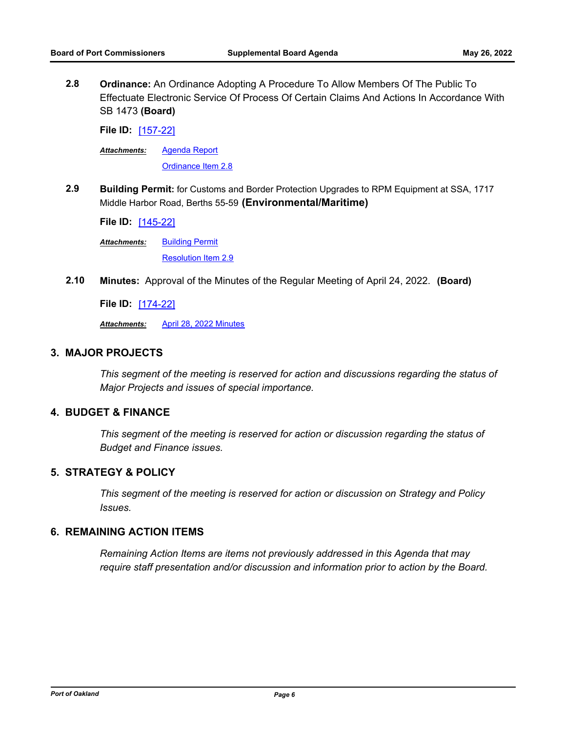**2.8 Ordinance:** An Ordinance Adopting A Procedure To Allow Members Of The Public To Effectuate Electronic Service Of Process Of Certain Claims And Actions In Accordance With SB 1473 **(Board)**

**File ID:** [\[157-22\]](http://portofoakland.legistar.com/gateway.aspx?m=l&id=/matter.aspx?key=4519)

[Agenda Report](http://portofoakland.legistar.com/gateway.aspx?M=F&ID=07f37bbe-33c7-46c7-b810-f2b3653ad852.docx) *Attachments:*

[Ordinance Item 2.8](http://portofoakland.legistar.com/gateway.aspx?M=F&ID=473c893b-5eea-431b-8d33-479f1c9c0034.pdf)

**2.9 Building Permit:** for Customs and Border Protection Upgrades to RPM Equipment at SSA, 1717 Middle Harbor Road, Berths 55-59 **(Environmental/Maritime)**

**File ID:** [\[145-22\]](http://portofoakland.legistar.com/gateway.aspx?m=l&id=/matter.aspx?key=4507)

**[Building Permit](http://portofoakland.legistar.com/gateway.aspx?M=F&ID=7f1898ad-6bee-4b52-9737-c196dba9cba0.pdf)** *Attachments:*

[Resolution Item 2.9](http://portofoakland.legistar.com/gateway.aspx?M=F&ID=d069d4f6-f41a-4201-a580-42e8e5a2e664.pdf)

**2.10 Minutes:** Approval of the Minutes of the Regular Meeting of April 24, 2022. **(Board)**

**File ID:** [\[174-22\]](http://portofoakland.legistar.com/gateway.aspx?m=l&id=/matter.aspx?key=4536)

*Attachments:* [April 28, 2022 Minutes](http://portofoakland.legistar.com/gateway.aspx?M=F&ID=ffbf2055-7bd6-47a7-b900-24fb5752a0a2.pdf)

# **3. MAJOR PROJECTS**

*This segment of the meeting is reserved for action and discussions regarding the status of Major Projects and issues of special importance.*

#### **4. BUDGET & FINANCE**

*This segment of the meeting is reserved for action or discussion regarding the status of Budget and Finance issues.*

# **5. STRATEGY & POLICY**

*This segment of the meeting is reserved for action or discussion on Strategy and Policy Issues.*

# **6. REMAINING ACTION ITEMS**

*Remaining Action Items are items not previously addressed in this Agenda that may require staff presentation and/or discussion and information prior to action by the Board.*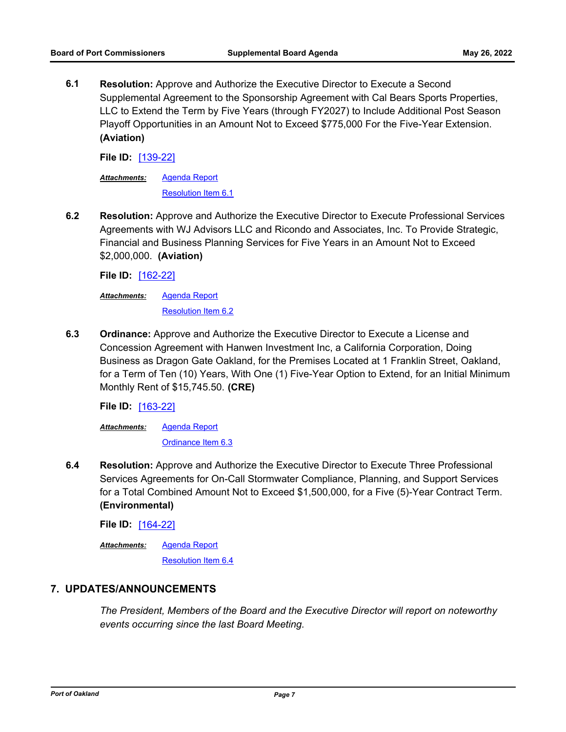**6.1 Resolution:** Approve and Authorize the Executive Director to Execute a Second Supplemental Agreement to the Sponsorship Agreement with Cal Bears Sports Properties, LLC to Extend the Term by Five Years (through FY2027) to Include Additional Post Season Playoff Opportunities in an Amount Not to Exceed \$775,000 For the Five-Year Extension. **(Aviation)**

**File ID:** [\[139-22\]](http://portofoakland.legistar.com/gateway.aspx?m=l&id=/matter.aspx?key=4501)

[Agenda Report](http://portofoakland.legistar.com/gateway.aspx?M=F&ID=a2676ec3-fee2-44cb-b7d1-78dcecfe7e9a.docx) *Attachments:*

[Resolution Item 6.1](http://portofoakland.legistar.com/gateway.aspx?M=F&ID=8624cf0d-7fae-40f0-93d1-365f8b661bb6.pdf)

**6.2 Resolution:** Approve and Authorize the Executive Director to Execute Professional Services Agreements with WJ Advisors LLC and Ricondo and Associates, Inc. To Provide Strategic, Financial and Business Planning Services for Five Years in an Amount Not to Exceed \$2,000,000. **(Aviation)**

**File ID:** [\[162-22\]](http://portofoakland.legistar.com/gateway.aspx?m=l&id=/matter.aspx?key=4524)

[Agenda Report](http://portofoakland.legistar.com/gateway.aspx?M=F&ID=7bf47655-91da-4c9c-8bfb-76d6986b4517.docx) *Attachments:*

[Resolution Item 6.2](http://portofoakland.legistar.com/gateway.aspx?M=F&ID=ac6907dd-4e1d-4406-b71a-8bb94a0bdcbc.pdf)

**6.3 Ordinance:** Approve and Authorize the Executive Director to Execute a License and Concession Agreement with Hanwen Investment Inc, a California Corporation, Doing Business as Dragon Gate Oakland, for the Premises Located at 1 Franklin Street, Oakland, for a Term of Ten (10) Years, With One (1) Five-Year Option to Extend, for an Initial Minimum Monthly Rent of \$15,745.50. **(CRE)**

**File ID:** [\[163-22\]](http://portofoakland.legistar.com/gateway.aspx?m=l&id=/matter.aspx?key=4525)

[Agenda Report](http://portofoakland.legistar.com/gateway.aspx?M=F&ID=30138ae2-5dc3-4114-a109-0b39c042d09c.docx) [Ordinance Item 6.3](http://portofoakland.legistar.com/gateway.aspx?M=F&ID=c6e2e3d3-c27e-4a0b-b050-c8fb64ddb880.pdf) *Attachments:*

**6.4 Resolution:** Approve and Authorize the Executive Director to Execute Three Professional Services Agreements for On-Call Stormwater Compliance, Planning, and Support Services for a Total Combined Amount Not to Exceed \$1,500,000, for a Five (5)-Year Contract Term. **(Environmental)**

**File ID:** [\[164-22\]](http://portofoakland.legistar.com/gateway.aspx?m=l&id=/matter.aspx?key=4526)

[Agenda Report](http://portofoakland.legistar.com/gateway.aspx?M=F&ID=adfb8100-5a0a-42fa-a3c8-f1a22ce46d08.docx) *Attachments:*

[Resolution Item 6.4](http://portofoakland.legistar.com/gateway.aspx?M=F&ID=16f0d4bb-60f0-4409-baff-21c0b7cb6b3c.pdf)

#### **7. UPDATES/ANNOUNCEMENTS**

*The President, Members of the Board and the Executive Director will report on noteworthy events occurring since the last Board Meeting.*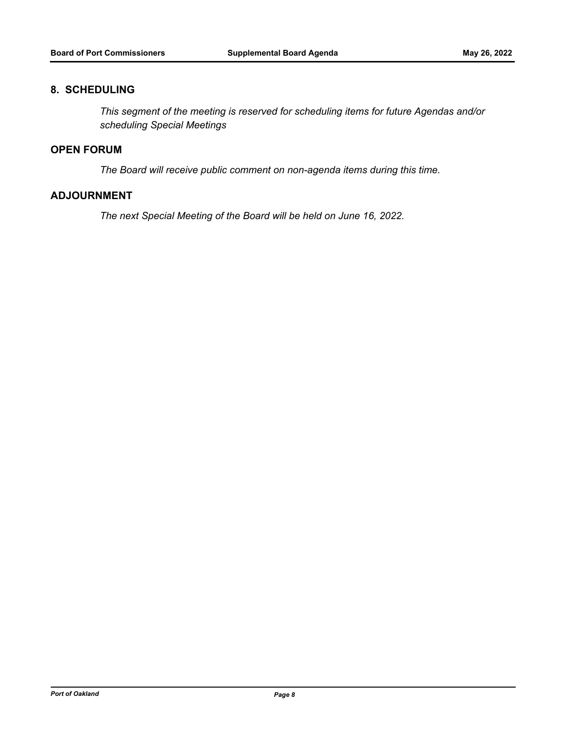#### **8. SCHEDULING**

*This segment of the meeting is reserved for scheduling items for future Agendas and/or scheduling Special Meetings*

# **OPEN FORUM**

*The Board will receive public comment on non-agenda items during this time.*

# **ADJOURNMENT**

*The next Special Meeting of the Board will be held on June 16, 2022.*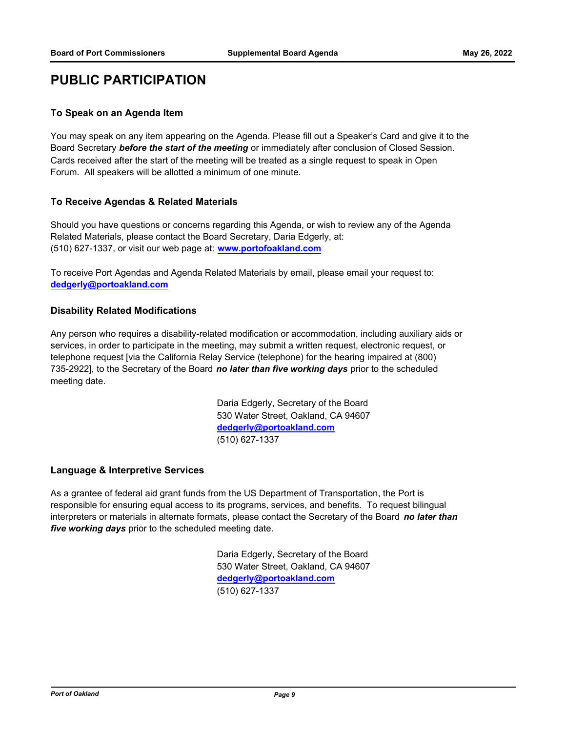# **PUBLIC PARTICIPATION**

#### **To Speak on an Agenda Item**

You may speak on any item appearing on the Agenda. Please fill out a Speaker's Card and give it to the Board Secretary *before the start of the meeting* or immediately after conclusion of Closed Session. Cards received after the start of the meeting will be treated as a single request to speak in Open Forum. All speakers will be allotted a minimum of one minute.

#### **To Receive Agendas & Related Materials**

Should you have questions or concerns regarding this Agenda, or wish to review any of the Agenda Related Materials, please contact the Board Secretary, Daria Edgerly, at: (510) 627-1337, or visit our web page at: **www.portofoakland.com**

To receive Port Agendas and Agenda Related Materials by email, please email your request to: **dedgerly@portoakland.com**

#### **Disability Related Modifications**

Any person who requires a disability-related modification or accommodation, including auxiliary aids or services, in order to participate in the meeting, may submit a written request, electronic request, or telephone request [via the California Relay Service (telephone) for the hearing impaired at (800) 735-2922], to the Secretary of the Board *no later than five working days* prior to the scheduled meeting date.

> Daria Edgerly, Secretary of the Board 530 Water Street, Oakland, CA 94607 **dedgerly@portoakland.com** (510) 627-1337

#### **Language & Interpretive Services**

As a grantee of federal aid grant funds from the US Department of Transportation, the Port is responsible for ensuring equal access to its programs, services, and benefits. To request bilingual interpreters or materials in alternate formats, please contact the Secretary of the Board *no later than five working days* prior to the scheduled meeting date.

> Daria Edgerly, Secretary of the Board 530 Water Street, Oakland, CA 94607 **dedgerly@portoakland.com** (510) 627-1337